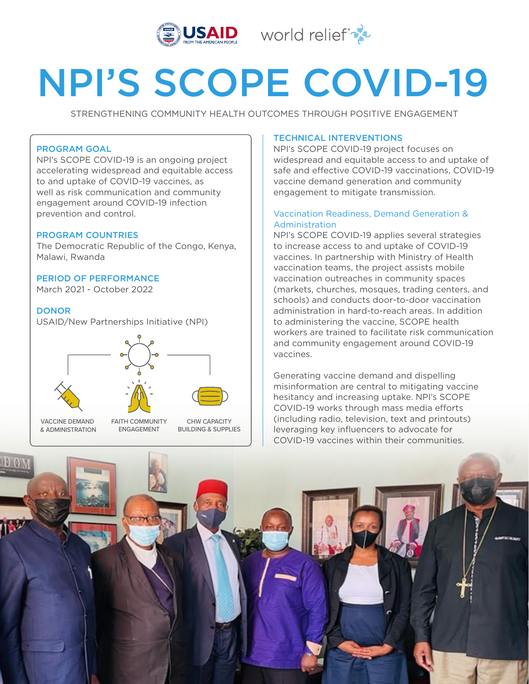



# NPI'S SCOPE COVID-19

STRENGTHENING COMMUNITY HEALTH OUTCOMES THROUGH POSITIVE ENGAGEMENT

# PROGRAM GOAL

NPI's SCOPE COVID-19 is an ongoing project accelerating widespread and equitable access to and uptake of COVID-19 vaccines, as well as risk communication and community engagement around COVID-19 infection prevention and control.

## PROGRAM COUNTRIES

The Democratic Republic of the Congo, Kenya, Malawi, Rwanda

## PERIOD OF PERFORMANCE

March 2021 - October 2022

## **DONOR**

USAID/New Partnerships Initiative (NPI)



VACCINE DEMAND & ADMINISTRATION FAITH COMMUNITY ENGAGEMENT CHW CAPACITY BUILDING & SUPPLIES

## TECHNICAL INTERVENTIONS

NPI's SCOPE COVID-19 project focuses on widespread and equitable access to and uptake of safe and effective COVID-19 vaccinations, COVID-19 vaccine demand generation and community engagement to mitigate transmission.

## Vaccination Readiness, Demand Generation & Administration

NPI's SCOPE COVID-19 applies several strategies to increase access to and uptake of COVID-19 vaccines. In partnership with Ministry of Health vaccination teams, the project assists mobile vaccination outreaches in community spaces (markets, churches, mosques, trading centers, and schools) and conducts door-to-door vaccination administration in hard-to-reach areas. In addition to administering the vaccine, SCOPE health workers are trained to facilitate risk communication and community engagement around COVID-19 vaccines.

Generating vaccine demand and dispelling misinformation are central to mitigating vaccine hesitancy and increasing uptake. NPI's SCOPE COVID-19 works through mass media efforts (including radio, television, text and printouts) leveraging key influencers to advocate for COVID-19 vaccines within their communities.